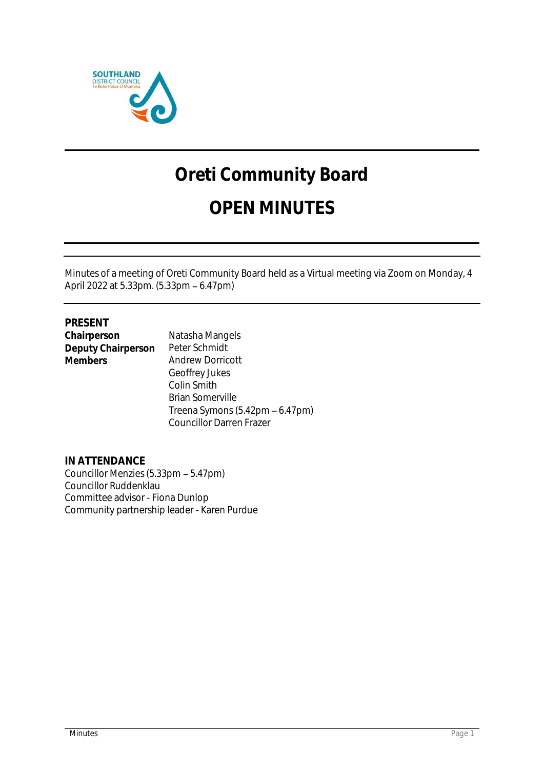

# **Oreti Community Board**

# **OPEN MINUTES**

Minutes of a meeting of Oreti Community Board held as a Virtual meeting via Zoom on Monday, 4 April 2022 at 5.33pm. (5.33pm - 6.47pm)

# **PRESENT**

| Chairperson        | Natasha Mangels         |
|--------------------|-------------------------|
| Deputy Chairperson | Peter Schmidt           |
| <b>Members</b>     | Andrew Dorricott        |
|                    | Geoffrey Jukes          |
|                    | Colin Smith             |
|                    | <b>Drian Comonuillo</b> |

Brian Somerville Treena Symons  $(5.42 \text{pm} - 6.47 \text{pm})$ Councillor Darren Frazer

**IN ATTENDANCE** Councillor Menzies (5.33pm - 5.47pm) Councillor Ruddenklau Committee advisor - Fiona Dunlop Community partnership leader - Karen Purdue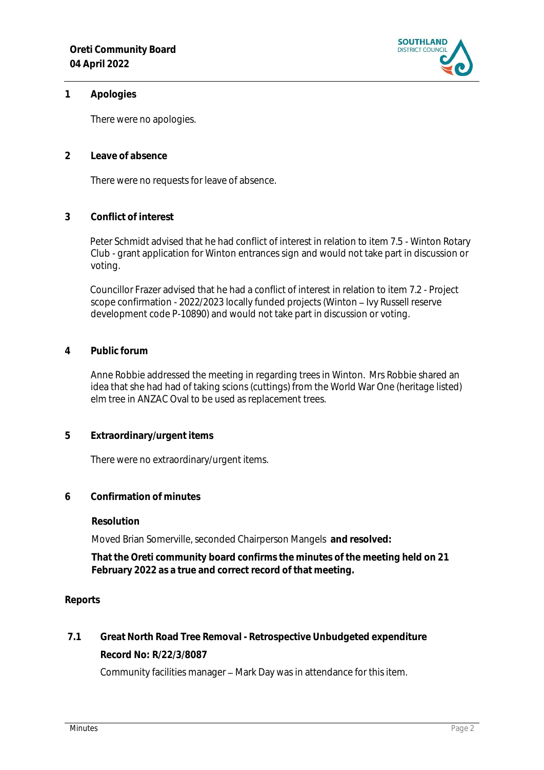

#### **1 Apologies**

There were no apologies.

**2 Leave of absence** 

There were no requests for leave of absence.

**3 Conflict of interest**

Peter Schmidt advised that he had conflict of interest in relation to item 7.5 - Winton Rotary Club - grant application for Winton entrances sign and would not take part in discussion or voting.

Councillor Frazer advised that he had a conflict of interest in relation to item 7.2 - Project scope confirmation - 2022/2023 locally funded projects (Winton - Ivy Russell reserve development code P-10890) and would not take part in discussion or voting.

#### **4 Public forum**

Anne Robbie addressed the meeting in regarding trees in Winton. Mrs Robbie shared an idea that she had had of taking scions (cuttings) from the World War One (heritage listed) elm tree in ANZAC Oval to be used as replacement trees.

**5 Extraordinary/urgent items**

There were no extraordinary/urgent items.

**6 Confirmation of minutes**

**Resolution**

Moved Brian Somerville, seconded Chairperson Mangels **and resolved:**

**That the Oreti community board confirms the minutes of the meeting held on 21 February 2022 as a true and correct record of that meeting.**

#### **Reports**

**7.1 Great North Road Tree Removal - Retrospective Unbudgeted expenditure Record No: R/22/3/8087**

Community facilities manager - Mark Day was in attendance for this item.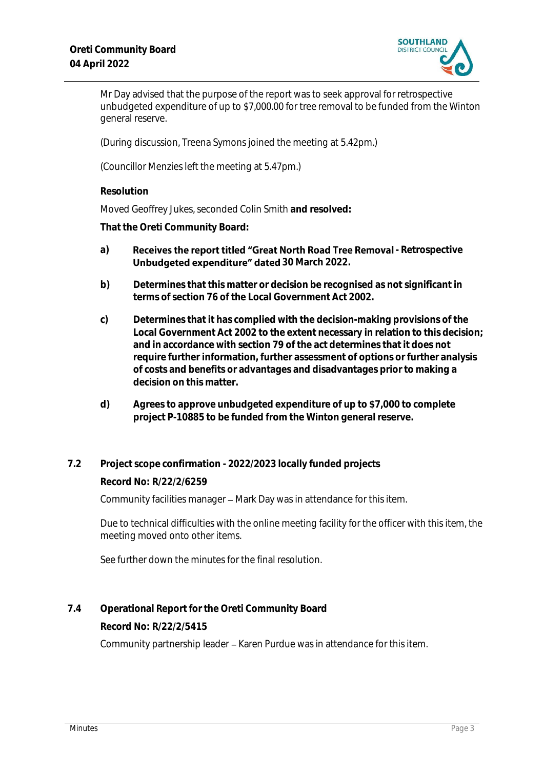

Mr Day advised that the purpose of the report was to seek approval for retrospective unbudgeted expenditure of up to \$7,000.00 for tree removal to be funded from the Winton general reserve.

(During discussion, Treena Symons joined the meeting at 5.42pm.)

(Councillor Menzies left the meeting at 5.47pm.)

**Resolution**

Moved Geoffrey Jukes, seconded Colin Smith **and resolved:**

**That the Oreti Community Board:**

- a) **Receives the report titled "Great North Road Tree Removal Retrospective Unbudgeted expenditure" dated 30 March 2022.**
- **b) Determines that this matter or decision be recognised as not significant in terms of section 76 of the Local Government Act 2002.**
- **c) Determines that it has complied with the decision-making provisions of the Local Government Act 2002 to the extent necessary in relation to this decision; and in accordance with section 79 of the act determines that it does not require further information, further assessment of options or further analysis of costs and benefits or advantages and disadvantages prior to making a decision on this matter.**
- **d) Agrees to approve unbudgeted expenditure of up to \$7,000 to complete project P-10885 to be funded from the Winton general reserve.**
- **7.2 Project scope confirmation - 2022/2023 locally funded projects**

**Record No: R/22/2/6259**

Community facilities manager - Mark Day was in attendance for this item.

Due to technical difficulties with the online meeting facility for the officer with this item, the meeting moved onto other items.

See further down the minutes for the final resolution.

**7.4 Operational Report for the Oreti Community Board**

**Record No: R/22/2/5415**

Community partnership leader - Karen Purdue was in attendance for this item.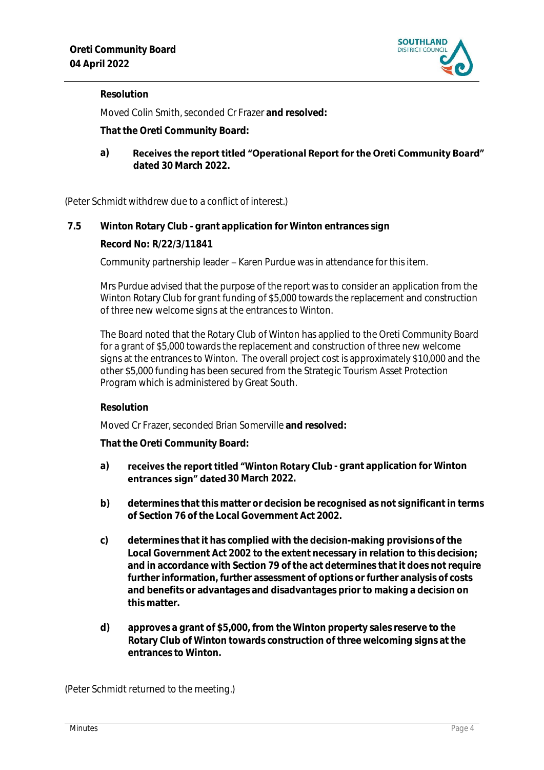

#### **Resolution**

Moved Colin Smith, seconded Cr Frazer **and resolved:**

**That the Oreti Community Board:**

Receives the report titled "Operational Report for the Oreti Community Board" **a) dated 30 March 2022.**

(Peter Schmidt withdrew due to a conflict of interest.)

#### **7.5 Winton Rotary Club - grant application for Winton entrances sign**

**Record No: R/22/3/11841**

Community partnership leader – Karen Purdue was in attendance for this item.

Mrs Purdue advised that the purpose of the report was to consider an application from the Winton Rotary Club for grant funding of \$5,000 towards the replacement and construction of three new welcome signs at the entrances to Winton.

The Board noted that the Rotary Club of Winton has applied to the Oreti Community Board for a grant of \$5,000 towards the replacement and construction of three new welcome signs at the entrances to Winton. The overall project cost is approximately \$10,000 and the other \$5,000 funding has been secured from the Strategic Tourism Asset Protection Program which is administered by Great South.

#### **Resolution**

Moved Cr Frazer, seconded Brian Somerville **and resolved:**

**That the Oreti Community Board:**

- a) **receives the report titled "Winton Rotary Club** grant application for Winton **antrances sign" dated 30 March 2022.**
- **b) determines that this matter or decision be recognised as not significant in terms of Section 76 of the Local Government Act 2002.**
- **c) determines that it has complied with the decision-making provisions of the Local Government Act 2002 to the extent necessary in relation to this decision; and in accordance with Section 79 of the act determines that it does not require further information, further assessment of options or further analysis of costs and benefits or advantages and disadvantages prior to making a decision on this matter.**
- **d) approves a grant of \$5,000, from the Winton property sales reserve to the Rotary Club of Winton towards construction of three welcoming signs at the entrances to Winton.**

(Peter Schmidt returned to the meeting.)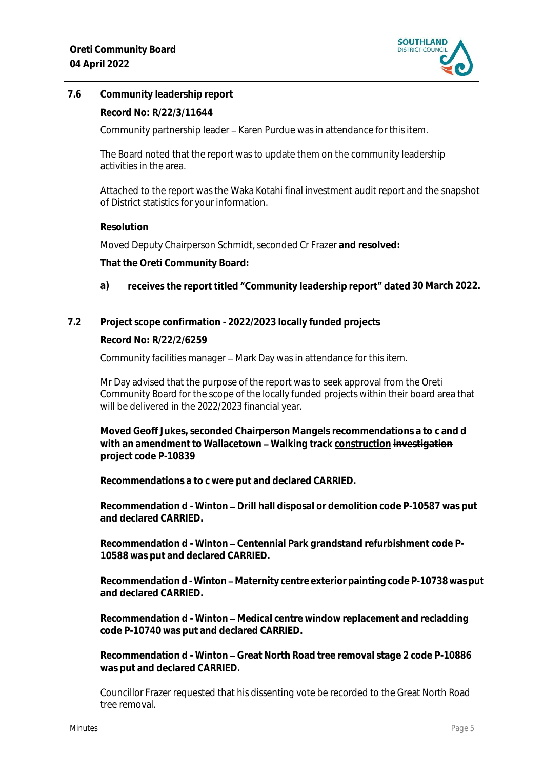

## **7.6 Community leadership report**

#### **Record No: R/22/3/11644**

Community partnership leader - Karen Purdue was in attendance for this item.

The Board noted that the report was to update them on the community leadership activities in the area.

Attached to the report was the Waka Kotahi final investment audit report and the snapshot of District statistics for your information.

#### **Resolution**

Moved Deputy Chairperson Schmidt, seconded Cr Frazer **and resolved:**

**That the Oreti Community Board:**

#### a) **receives the report titled "Community leadership report" dated 30 March 2022.**

#### **7.2 Project scope confirmation - 2022/2023 locally funded projects**

**Record No: R/22/2/6259**

Community facilities manager – Mark Day was in attendance for this item.

Mr Day advised that the purpose of the report was to seek approval from the Oreti Community Board for the scope of the locally funded projects within their board area that will be delivered in the 2022/2023 financial year.

**Moved Geoff Jukes, seconded Chairperson Mangels recommendations a to c and d**  with an amendment to Wallacetown - Walking track construction investigation **project code P-10839**

**Recommendations a to c were put and declared CARRIED.**

**Recommendation d - Winton – Drill hall disposal or demolition code P-10587 was put and declared CARRIED.**

Recommendation d - Winton - Centennial Park grandstand refurbishment code P-**10588 was put and declared CARRIED.**

Recommendation d - Winton - Maternity centre exterior painting code P-10738 was put **and declared CARRIED.**

**Recommendation d - Winton – Medical centre window replacement and recladding code P-10740 was put and declared CARRIED.**

Recommendation d - Winton - Great North Road tree removal stage 2 code P-10886 **was put and declared CARRIED.** 

Councillor Frazer requested that his dissenting vote be recorded to the Great North Road tree removal.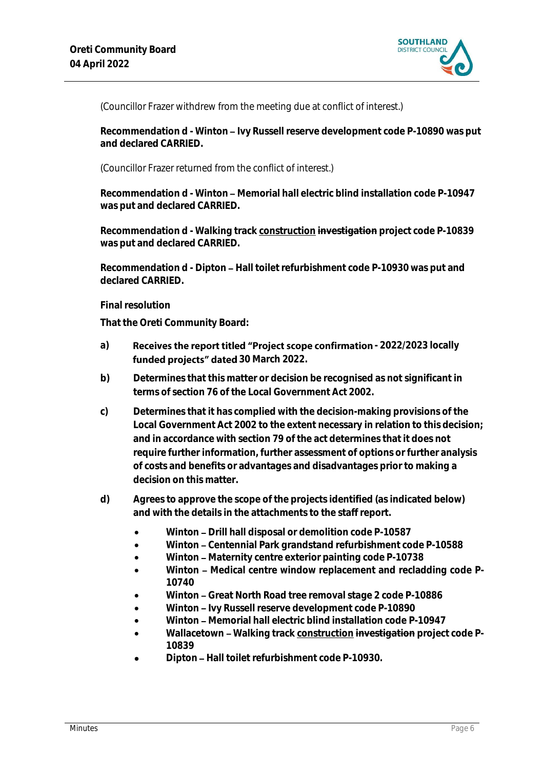

(Councillor Frazer withdrew from the meeting due at conflict of interest.)

Recommendation d - Winton - Ivy Russell reserve development code P-10890 was put **and declared CARRIED.**

(Councillor Frazer returned from the conflict of interest.)

**Recommendation d - Winton – Memorial hall electric blind installation code P-10947 was put and declared CARRIED.**

**Recommendation d - Walking track construction investigation project code P-10839 was put and declared CARRIED.**

Recommendation d - Dipton - Hall toilet refurbishment code P-10930 was put and **declared CARRIED.**

#### **Final resolution**

**That the Oreti Community Board:**

- a) **Receives the report titled "Project scope confirmation 2022/2023 locally** funded projects" dated 30 March 2022.
- **b) Determines that this matter or decision be recognised as not significant in terms of section 76 of the Local Government Act 2002.**
- **c) Determines that it has complied with the decision-making provisions of the Local Government Act 2002 to the extent necessary in relation to this decision; and in accordance with section 79 of the act determines that it does not require further information, further assessment of options or further analysis of costs and benefits or advantages and disadvantages prior to making a decision on this matter.**
- **d) Agrees to approve the scope of the projects identified (as indicated below) and with the details in the attachments to the staff report.**
	- Winton Drill hall disposal or demolition code P-10587
	- **Winton Centennial Park grandstand refurbishment code P-10588**
	- Winton Maternity centre exterior painting code P-10738
	- Winton Medical centre window replacement and recladding code P-**10740**
	- **Winton Great North Road tree removal stage 2 code P-10886**
	- Winton Ivy Russell reserve development code P-10890
	- Winton Memorial hall electric blind installation code P-10947
	- Wallacetown Walking track construction investigation project code P-**10839**
	- **Dipton Hall toilet refurbishment code P-10930.**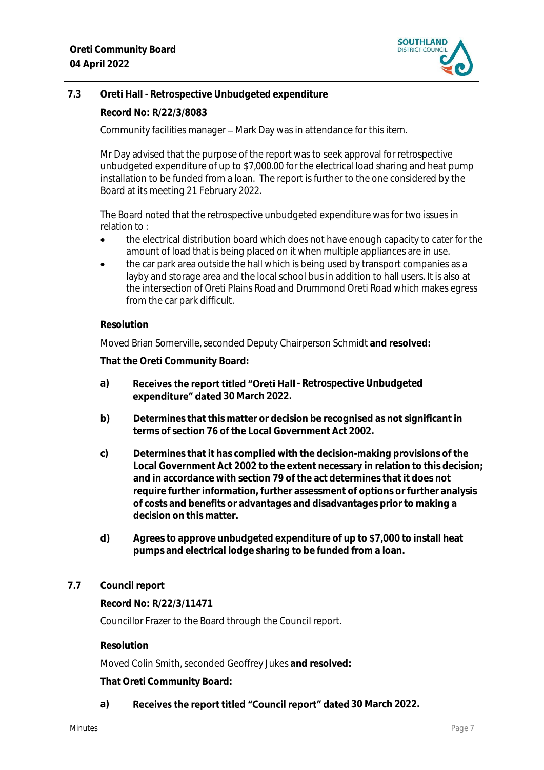

## **7.3 Oreti Hall - Retrospective Unbudgeted expenditure**

**Record No: R/22/3/8083**

Community facilities manager – Mark Day was in attendance for this item.

Mr Day advised that the purpose of the report was to seek approval for retrospective unbudgeted expenditure of up to \$7,000.00 for the electrical load sharing and heat pump installation to be funded from a loan. The report is further to the one considered by the Board at its meeting 21 February 2022.

The Board noted that the retrospective unbudgeted expenditure was for two issues in relation to :

- the electrical distribution board which does not have enough capacity to cater for the amount of load that is being placed on it when multiple appliances are in use.
- the car park area outside the hall which is being used by transport companies as a layby and storage area and the local school bus in addition to hall users. It is also at the intersection of Oreti Plains Road and Drummond Oreti Road which makes egress from the car park difficult.

#### **Resolution**

Moved Brian Somerville, seconded Deputy Chairperson Schmidt **and resolved:**

**That the Oreti Community Board:**

- a) **Receives the report titled "Oreti Hall** Retrospective Unbudgeted **expenditure" dated** 30 March 2022.
- **b) Determines that this matter or decision be recognised as not significant in terms of section 76 of the Local Government Act 2002.**
- **c) Determines that it has complied with the decision-making provisions of the Local Government Act 2002 to the extent necessary in relation to this decision; and in accordance with section 79 of the act determines that it does not require further information, further assessment of options or further analysis of costs and benefits or advantages and disadvantages prior to making a decision on this matter.**
- **d) Agrees to approve unbudgeted expenditure of up to \$7,000 to install heat pumps and electrical lodge sharing to be funded from a loan.**

#### **7.7 Council report**

**Record No: R/22/3/11471**

Councillor Frazer to the Board through the Council report.

**Resolution**

Moved Colin Smith, seconded Geoffrey Jukes **and resolved:**

**That Oreti Community Board:**

#### a) Receives the report titled "Council report" dated 30 March 2022.